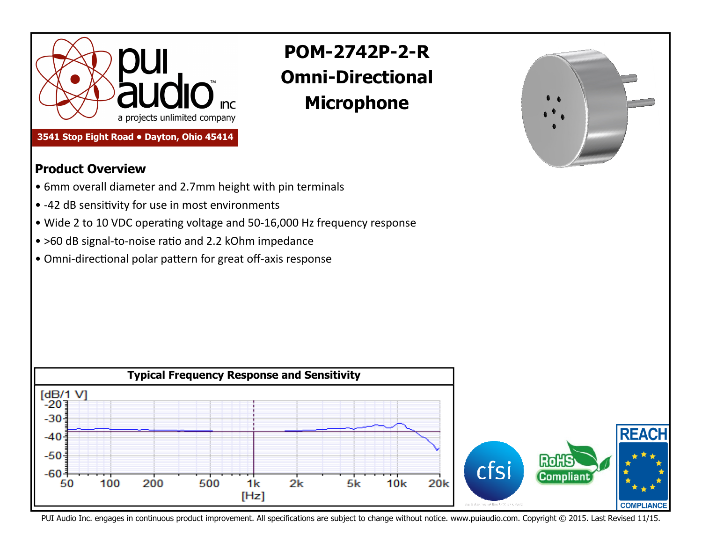

**3541 Stop Eight Road • Dayton, Ohio 45414** 

## **POM-2742P-2-R Omni-Directional Microphone**



## **Product Overview**

- 6mm overall diameter and 2.7mm height with pin terminals
- -42 dB sensitivity for use in most environments
- Wide 2 to 10 VDC operating voltage and 50-16,000 Hz frequency response
- >60 dB signal-to-noise ratio and 2.2 kOhm impedance
- Omni-directional polar pattern for great off-axis response



PUI Audio Inc. engages in continuous product improvement. All specifications are subject to change without notice. www.puiaudio.com. Copyright © 2015. Last Revised 11/15.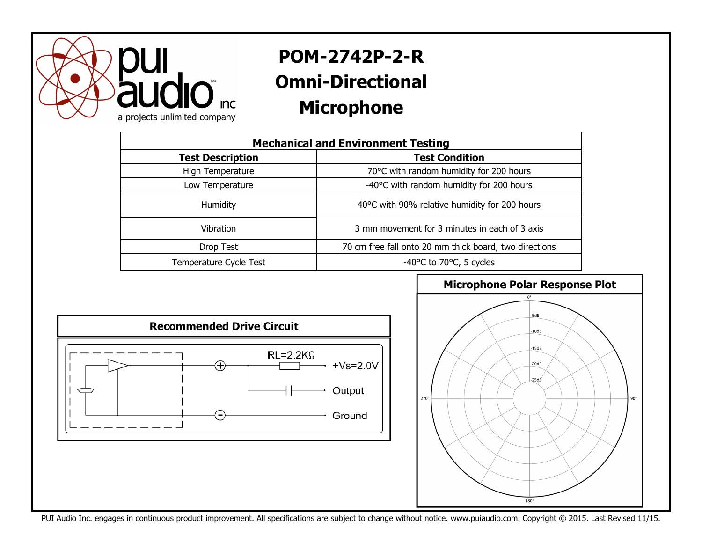

## **POM-2742P-2-R Omni-Directional Microphone**

| <b>Mechanical and Environment Testing</b> |                                                        |
|-------------------------------------------|--------------------------------------------------------|
| <b>Test Description</b>                   | <b>Test Condition</b>                                  |
| High Temperature                          | 70°C with random humidity for 200 hours                |
| Low Temperature                           | -40°C with random humidity for 200 hours               |
| Humidity                                  | 40°C with 90% relative humidity for 200 hours          |
| <b>Vibration</b>                          | 3 mm movement for 3 minutes in each of 3 axis          |
| Drop Test                                 | 70 cm free fall onto 20 mm thick board, two directions |
| Temperature Cycle Test                    | -40°C to 70°C, 5 cycles                                |





PUI Audio Inc. engages in continuous product improvement. All specifications are subject to change without notice. www.puiaudio.com. Copyright © 2015. Last Revised 11/15.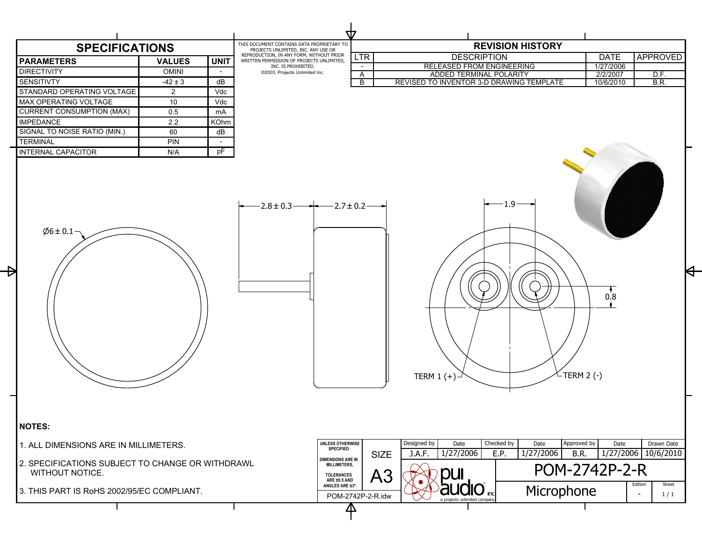